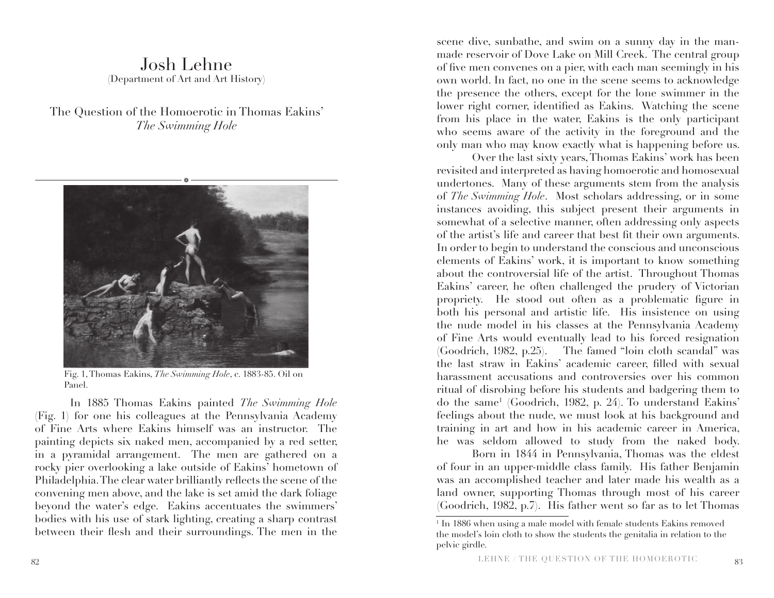## Josh Lehne (Department of Art and Art History)

The Question of the Homoerotic in Thomas Eakins' *The Swimming Hole*



Fig. 1, Thomas Eakins, *The Swimming Hole*, c. 1883-85. Oil on Panel.

In 1885 Thomas Eakins painted *The Swimming Hole*  (Fig. 1) for one his colleagues at the Pennsylvania Academy of Fine Arts where Eakins himself was an instructor. The painting depicts six naked men, accompanied by a red setter, in a pyramidal arrangement. The men are gathered on a rocky pier overlooking a lake outside of Eakins' hometown of Philadelphia. The clear water brilliantly reflects the scene of the convening men above, and the lake is set amid the dark foliage beyond the water's edge. Eakins accentuates the swimmers' bodies with his use of stark lighting, creating a sharp contrast between their flesh and their surroundings. The men in the scene dive, sunbathe, and swim on a sunny day in the manmade reservoir of Dove Lake on Mill Creek. The central group of five men convenes on a pier, with each man seemingly in his own world. In fact, no one in the scene seems to acknowledge the presence the others, except for the lone swimmer in the lower right corner, identified as Eakins. Watching the scene from his place in the water, Eakins is the only participant who seems aware of the activity in the foreground and the only man who may know exactly what is happening before us.

Over the last sixty years, Thomas Eakins' work has been revisited and interpreted as having homoerotic and homosexual undertones. Many of these arguments stem from the analysis of *The Swimming Hole*. Most scholars addressing, or in some instances avoiding, this subject present their arguments in somewhat of a selective manner, often addressing only aspects of the artist's life and career that best fit their own arguments. In order to begin to understand the conscious and unconscious elements of Eakins' work, it is important to know something about the controversial life of the artist. Throughout Thomas Eakins' career, he often challenged the prudery of Victorian propriety. He stood out often as a problematic figure in both his personal and artistic life. His insistence on using the nude model in his classes at the Pennsylvania Academy of Fine Arts would eventually lead to his forced resignation (Goodrich, 1982, p.25). The famed "loin cloth scandal" was the last straw in Eakins' academic career, filled with sexual harassment accusations and controversies over his common ritual of disrobing before his students and badgering them to do the same1 (Goodrich, 1982, p. 24). To understand Eakins' feelings about the nude, we must look at his background and training in art and how in his academic career in America, he was seldom allowed to study from the naked body.

Born in 1844 in Pennsylvania, Thomas was the eldest of four in an upper-middle class family. His father Benjamin was an accomplished teacher and later made his wealth as a land owner, supporting Thomas through most of his career (Goodrich, 1982, p.7). His father went so far as to let Thomas

<sup>&</sup>lt;sup>1</sup> In 1886 when using a male model with female students Eakins removed the model's loin cloth to show the students the genitalia in relation to the pelvic girdle.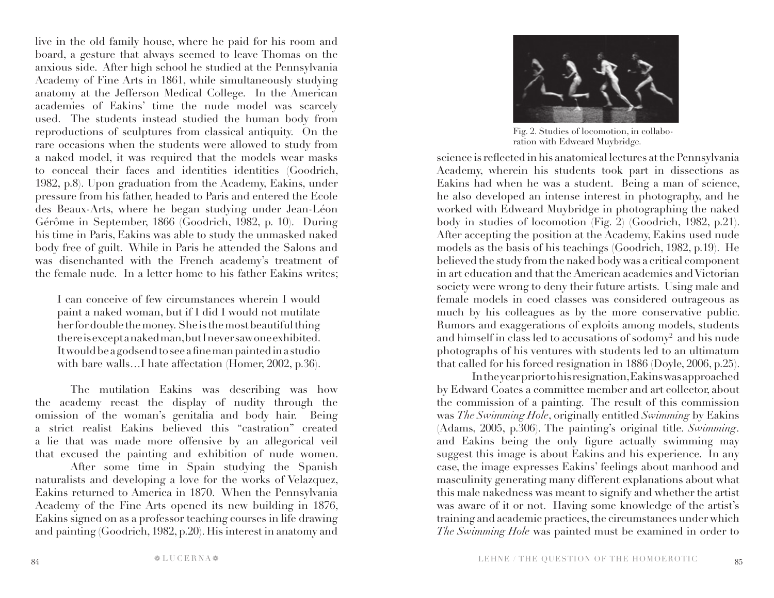live in the old family house, where he paid for his room and board, a gesture that always seemed to leave Thomas on the anxious side. After high school he studied at the Pennsylvania Academy of Fine Arts in 1861, while simultaneously studying anatomy at the Jefferson Medical College. In the American academies of Eakins' time the nude model was scarcely used. The students instead studied the human body from reproductions of sculptures from classical antiquity. On the rare occasions when the students were allowed to study from a naked model, it was required that the models wear masks to conceal their faces and identities identities (Goodrich, 1982, p.8). Upon graduation from the Academy, Eakins, under pressure from his father, headed to Paris and entered the Ecole des Beaux-Arts, where he began studying under Jean-Léon Gérôme in September, 1866 (Goodrich, 1982, p. 10). During his time in Paris, Eakins was able to study the unmasked naked body free of guilt. While in Paris he attended the Salons and was disenchanted with the French academy's treatment of the female nude. In a letter home to his father Eakins writes;

I can conceive of few circumstances wherein I would paint a naked woman, but if I did I would not mutilate her for double the money. She is the most beautiful thing there is except a naked man, but I never saw one exhibited. It would be a godsend to see a fine man painted in a studio with bare walls…I hate affectation (Homer, 2002, p.36).

The mutilation Eakins was describing was how the academy recast the display of nudity through the omission of the woman's genitalia and body hair. Being a strict realist Eakins believed this "castration" created a lie that was made more offensive by an allegorical veil that excused the painting and exhibition of nude women.

After some time in Spain studying the Spanish naturalists and developing a love for the works of Velazquez, Eakins returned to America in 1870. When the Pennsylvania Academy of the Fine Arts opened its new building in 1876, Eakins signed on as a professor teaching courses in life drawing and painting (Goodrich, 1982, p.20). His interest in anatomy and



Fig. 2. Studies of locomotion, in collaboration with Edweard Muybridge.

science is reflected in his anatomical lectures at the Pennsylvania Academy, wherein his students took part in dissections as Eakins had when he was a student. Being a man of science, he also developed an intense interest in photography, and he worked with Edweard Muybridge in photographing the naked body in studies of locomotion (Fig. 2) (Goodrich, 1982, p.21). After accepting the position at the Academy, Eakins used nude models as the basis of his teachings (Goodrich, 1982, p.19). He believed the study from the naked body was a critical component in art education and that the American academies and Victorian society were wrong to deny their future artists. Using male and female models in coed classes was considered outrageous as much by his colleagues as by the more conservative public. Rumors and exaggerations of exploits among models, students and himself in class led to accusations of sodomy $^2$  and his nude photographs of his ventures with students led to an ultimatum that called for his forced resignation in 1886 (Doyle, 2006, p.25).

In the year prior to his resignation, Eakins was approached by Edward Coates a committee member and art collector, about the commission of a painting. The result of this commission was *The Swimming Hole*, originally entitled *Swimming* by Eakins (Adams, 2005, p.306). The painting's original title. *Swimming*. and Eakins being the only figure actually swimming may suggest this image is about Eakins and his experience. In any case, the image expresses Eakins' feelings about manhood and masculinity generating many different explanations about what this male nakedness was meant to signify and whether the artist was aware of it or not. Having some knowledge of the artist's training and academic practices, the circumstances under which *The Swimming Hole* was painted must be examined in order to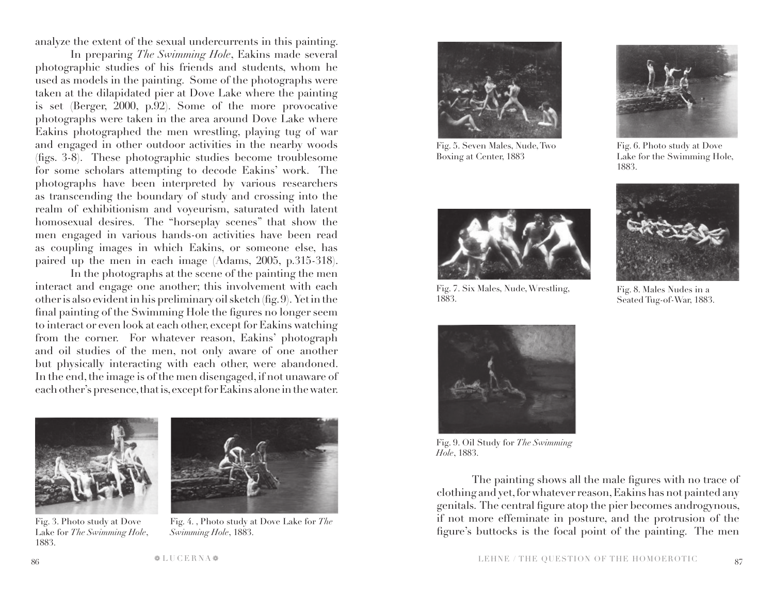analyze the extent of the sexual undercurrents in this painting.

In preparing *The Swimming Hole*, Eakins made several photographic studies of his friends and students, whom he used as models in the painting. Some of the photographs were taken at the dilapidated pier at Dove Lake where the painting is set (Berger, 2000, p.92). Some of the more provocative photographs were taken in the area around Dove Lake where Eakins photographed the men wrestling, playing tug of war and engaged in other outdoor activities in the nearby woods (figs. 3-8). These photographic studies become troublesome for some scholars attempting to decode Eakins' work. The photographs have been interpreted by various researchers as transcending the boundary of study and crossing into the realm of exhibitionism and voyeurism, saturated with latent homosexual desires. The "horseplay scenes" that show the men engaged in various hands-on activities have been read as coupling images in which Eakins, or someone else, has paired up the men in each image (Adams, 2005, p.315-318).

In the photographs at the scene of the painting the men interact and engage one another; this involvement with each other is also evident in his preliminary oil sketch (fig. 9). Yet in the final painting of the Swimming Hole the figures no longer seem to interact or even look at each other, except for Eakins watching from the corner. For whatever reason, Eakins' photograph and oil studies of the men, not only aware of one another but physically interacting with each other, were abandoned. In the end, the image is of the men disengaged, if not unaware of each other's presence, that is, except for Eakins alone in the water.



Fig. 3. Photo study at Dove Lake for *The Swimming Hole*, 1883.



Fig. 4. , Photo study at Dove Lake for *The Swimming Hole*, 1883.



Fig. 5. Seven Males, Nude, Two Boxing at Center, 1883



Fig. 6. Photo study at Dove Lake for the Swimming Hole, 1883.

Fig. 8. Males Nudes in a Seated Tug-of-War, 1883.



Fig. 7. Six Males, Nude, Wrestling, 1883.



Fig. 9. Oil Study for *The Swimming Hole*, 1883.

The painting shows all the male figures with no trace of clothing and yet, for whatever reason, Eakins has not painted any genitals. The central figure atop the pier becomes androgynous, if not more effeminate in posture, and the protrusion of the figure's buttocks is the focal point of the painting. The men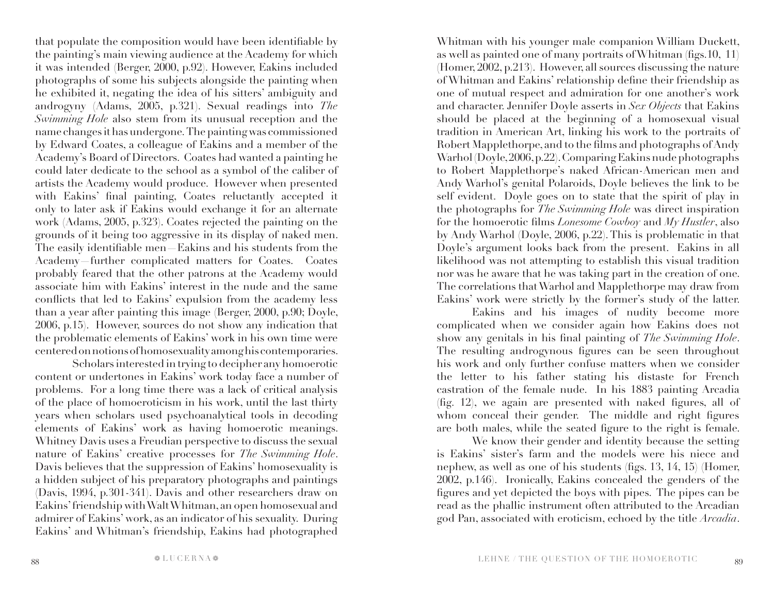that populate the composition would have been identifiable by the painting's main viewing audience at the Academy for which it was intended (Berger, 2000, p.92). However, Eakins included photographs of some his subjects alongside the painting when he exhibited it, negating the idea of his sitters' ambiguity and androgyny (Adams, 2005, p.321). Sexual readings into *The Swimming Hole* also stem from its unusual reception and the name changes it has undergone. The painting was commissioned by Edward Coates, a colleague of Eakins and a member of the Academy's Board of Directors. Coates had wanted a painting he could later dedicate to the school as a symbol of the caliber of artists the Academy would produce. However when presented with Eakins' final painting, Coates reluctantly accepted it only to later ask if Eakins would exchange it for an alternate work (Adams, 2005, p.323). Coates rejected the painting on the grounds of it being too aggressive in its display of naked men. The easily identifiable men—Eakins and his students from the Academy—further complicated matters for Coates. Coates probably feared that the other patrons at the Academy would associate him with Eakins' interest in the nude and the same conflicts that led to Eakins' expulsion from the academy less than a year after painting this image (Berger, 2000, p.90; Doyle, 2006, p.15). However, sources do not show any indication that the problematic elements of Eakins' work in his own time were centered on notions of homosexuality among his contemporaries.

 Scholars interested in trying to decipher any homoerotic content or undertones in Eakins' work today face a number of problems. For a long time there was a lack of critical analysis of the place of homoeroticism in his work, until the last thirty years when scholars used psychoanalytical tools in decoding elements of Eakins' work as having homoerotic meanings. Whitney Davis uses a Freudian perspective to discuss the sexual nature of Eakins' creative processes for *The Swimming Hole*. Davis believes that the suppression of Eakins' homosexuality is a hidden subject of his preparatory photographs and paintings (Davis, 1994, p.301-341). Davis and other researchers draw on Eakins' friendship with Walt Whitman, an open homosexual and admirer of Eakins' work, as an indicator of his sexuality. During Eakins' and Whitman's friendship, Eakins had photographed

Whitman with his younger male companion William Duckett, as well as painted one of many portraits of Whitman (figs.10, 11) (Homer, 2002, p.213). However, all sources discussing the nature of Whitman and Eakins' relationship define their friendship as one of mutual respect and admiration for one another's work and character. Jennifer Doyle asserts in *Sex Objects* that Eakins should be placed at the beginning of a homosexual visual tradition in American Art, linking his work to the portraits of Robert Mapplethorpe, and to the films and photographs of Andy Warhol (Doyle, 2006, p.22). Comparing Eakins nude photographs to Robert Mapplethorpe's naked African-American men and Andy Warhol's genital Polaroids, Doyle believes the link to be self evident. Doyle goes on to state that the spirit of play in the photographs for *The Swimming Hole* was direct inspiration for the homoerotic films *Lonesome Cowboy* and *My Hustler*, also by Andy Warhol (Doyle, 2006, p.22). This is problematic in that Doyle's argument looks back from the present. Eakins in all likelihood was not attempting to establish this visual tradition nor was he aware that he was taking part in the creation of one. The correlations that Warhol and Mapplethorpe may draw from Eakins' work were strictly by the former's study of the latter.

Eakins and his images of nudity become more complicated when we consider again how Eakins does not show any genitals in his final painting of *The Swimming Hole*. The resulting androgynous figures can be seen throughout his work and only further confuse matters when we consider the letter to his father stating his distaste for French castration of the female nude. In his 1883 painting Arcadia (fig. 12), we again are presented with naked figures, all of whom conceal their gender. The middle and right figures are both males, while the seated figure to the right is female.

We know their gender and identity because the setting is Eakins' sister's farm and the models were his niece and nephew, as well as one of his students (figs. 13, 14, 15) (Homer, 2002, p.146). Ironically, Eakins concealed the genders of the figures and yet depicted the boys with pipes. The pipes can be read as the phallic instrument often attributed to the Arcadian god Pan, associated with eroticism, echoed by the title *Arcadia*.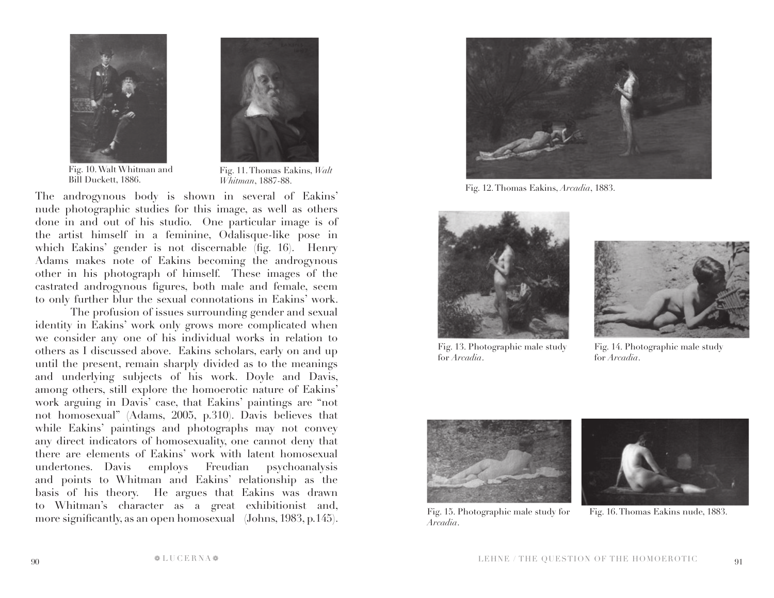



Fig. 10. Walt Whitman and Bill Duckett, 1886.

Fig. 11. Thomas Eakins, *Walt Whitman*, 1887-88.

The androgynous body is shown in several of Eakins' nude photographic studies for this image, as well as others done in and out of his studio. One particular image is of the artist himself in a feminine, Odalisque-like pose in which Eakins' gender is not discernable (fig. 16). Henry Adams makes note of Eakins becoming the androgynous other in his photograph of himself. These images of the castrated androgynous figures, both male and female, seem to only further blur the sexual connotations in Eakins' work.

The profusion of issues surrounding gender and sexual identity in Eakins' work only grows more complicated when we consider any one of his individual works in relation to others as I discussed above. Eakins scholars, early on and up until the present, remain sharply divided as to the meanings and underlying subjects of his work. Doyle and Davis, among others, still explore the homoerotic nature of Eakins' work arguing in Davis' case, that Eakins' paintings are "not not homosexual" (Adams, 2005, p.310). Davis believes that while Eakins' paintings and photographs may not convey any direct indicators of homosexuality, one cannot deny that there are elements of Eakins' work with latent homosexual undertones. Davis employs Freudian psychoanalysis and points to Whitman and Eakins' relationship as the basis of his theory. He argues that Eakins was drawn to Whitman's character as a great exhibitionist and, more significantly, as an open homosexual (Johns, 1983, p.145).



Fig. 12. Thomas Eakins, *Arcadia*, 1883.



Fig. 13. Photographic male study for *Arcadia*.



Fig. 14. Photographic male study for *Arcadia*.



Fig. 15. Photographic male study for *Arcadia*.



Fig. 16. Thomas Eakins nude, 1883.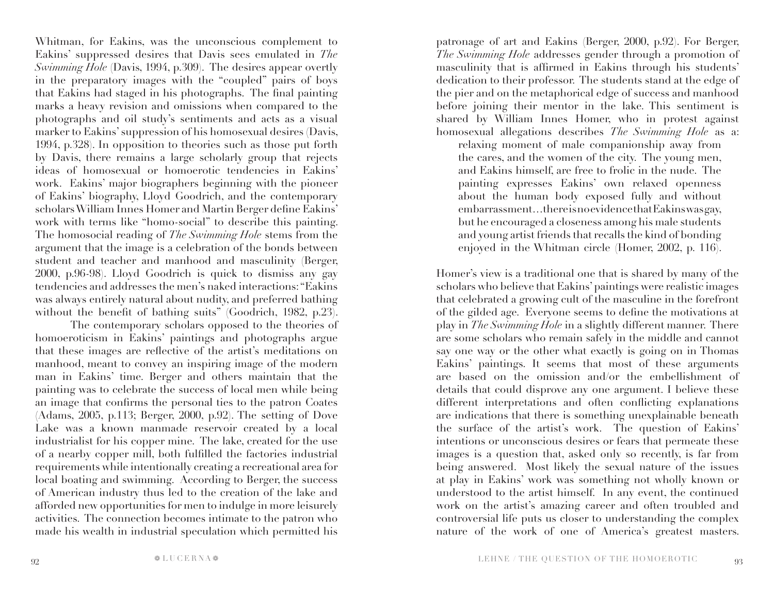Whitman, for Eakins, was the unconscious complement to Eakins' suppressed desires that Davis sees emulated in *The Swimming Hole* (Davis, 1994, p.309). The desires appear overtly in the preparatory images with the "coupled" pairs of boys that Eakins had staged in his photographs. The final painting marks a heavy revision and omissions when compared to the photographs and oil study's sentiments and acts as a visual marker to Eakins' suppression of his homosexual desires (Davis, 1994, p.328). In opposition to theories such as those put forth by Davis, there remains a large scholarly group that rejects ideas of homosexual or homoerotic tendencies in Eakins' work. Eakins' major biographers beginning with the pioneer of Eakins' biography, Lloyd Goodrich, and the contemporary scholars William Innes Homer and Martin Berger define Eakins' work with terms like "homo-social" to describe this painting. The homosocial reading of *The Swimming Hole* stems from the argument that the image is a celebration of the bonds between student and teacher and manhood and masculinity (Berger, 2000, p.96-98). Lloyd Goodrich is quick to dismiss any gay tendencies and addresses the men's naked interactions: "Eakins was always entirely natural about nudity, and preferred bathing without the benefit of bathing suits" (Goodrich, 1982, p.23).

The contemporary scholars opposed to the theories of homoeroticism in Eakins' paintings and photographs argue that these images are reflective of the artist's meditations on manhood, meant to convey an inspiring image of the modern man in Eakins' time. Berger and others maintain that the painting was to celebrate the success of local men while being an image that confirms the personal ties to the patron Coates (Adams, 2005, p.113; Berger, 2000, p.92). The setting of Dove Lake was a known manmade reservoir created by a local industrialist for his copper mine. The lake, created for the use of a nearby copper mill, both fulfilled the factories industrial requirements while intentionally creating a recreational area for local boating and swimming. According to Berger, the success of American industry thus led to the creation of the lake and afforded new opportunities for men to indulge in more leisurely activities. The connection becomes intimate to the patron who made his wealth in industrial speculation which permitted his

patronage of art and Eakins (Berger, 2000, p.92). For Berger, *The Swimming Hole* addresses gender through a promotion of masculinity that is affirmed in Eakins through his students' dedication to their professor. The students stand at the edge of the pier and on the metaphorical edge of success and manhood before joining their mentor in the lake. This sentiment is shared by William Innes Homer, who in protest against homosexual allegations describes *The Swimming Hole* as a:

relaxing moment of male companionship away from the cares, and the women of the city. The young men, and Eakins himself, are free to frolic in the nude. The painting expresses Eakins' own relaxed openness about the human body exposed fully and without embarrassment…there is no evidence that Eakins was gay, but he encouraged a closeness among his male students and young artist friends that recalls the kind of bonding enjoyed in the Whitman circle (Homer, 2002, p. 116).

Homer's view is a traditional one that is shared by many of the scholars who believe that Eakins' paintings were realistic images that celebrated a growing cult of the masculine in the forefront of the gilded age. Everyone seems to define the motivations at play in *The Swimming Hole* in a slightly different manner. There are some scholars who remain safely in the middle and cannot say one way or the other what exactly is going on in Thomas Eakins' paintings. It seems that most of these arguments are based on the omission and/or the embellishment of details that could disprove any one argument. I believe these different interpretations and often conflicting explanations are indications that there is something unexplainable beneath the surface of the artist's work. The question of Eakins' intentions or unconscious desires or fears that permeate these images is a question that, asked only so recently, is far from being answered. Most likely the sexual nature of the issues at play in Eakins' work was something not wholly known or understood to the artist himself. In any event, the continued work on the artist's amazing career and often troubled and controversial life puts us closer to understanding the complex nature of the work of one of America's greatest masters.